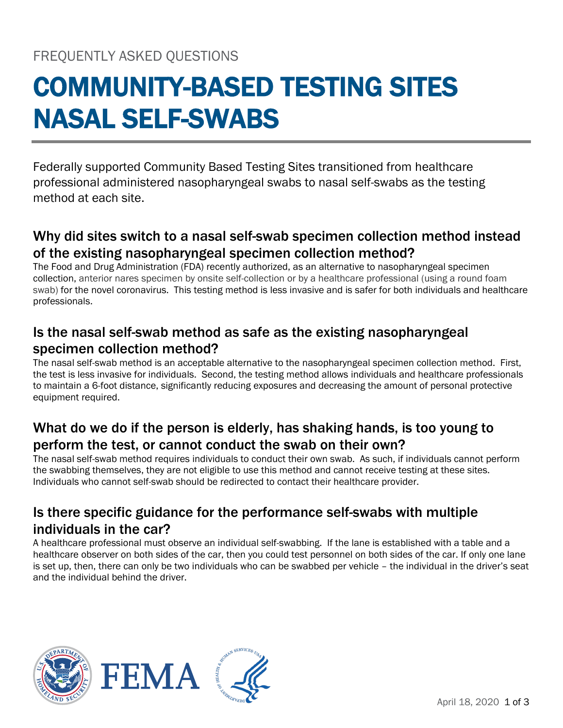# COMMUNITY-BASED TESTING SITES NASAL SELF-SWABS

Federally supported Community Based Testing Sites transitioned from healthcare professional administered nasopharyngeal swabs to nasal self-swabs as the testing method at each site.

## Why did sites switch to a nasal self-swab specimen collection method instead of the existing nasopharyngeal specimen collection method?

The Food and Drug Administration (FDA) recently authorized, as an alternative to nasopharyngeal specimen collection, anterior nares specimen by onsite self-collection or by a healthcare professional (using a round foam swab) for the novel coronavirus. This testing method is less invasive and is safer for both individuals and healthcare professionals.

## Is the nasal self-swab method as safe as the existing nasopharyngeal specimen collection method?

The nasal self-swab method is an acceptable alternative to the nasopharyngeal specimen collection method. First, the test is less invasive for individuals. Second, the testing method allows individuals and healthcare professionals to maintain a 6-foot distance, significantly reducing exposures and decreasing the amount of personal protective equipment required.

## What do we do if the person is elderly, has shaking hands, is too young to perform the test, or cannot conduct the swab on their own?

The nasal self-swab method requires individuals to conduct their own swab. As such, if individuals cannot perform the swabbing themselves, they are not eligible to use this method and cannot receive testing at these sites. Individuals who cannot self-swab should be redirected to contact their healthcare provider.

## Is there specific guidance for the performance self-swabs with multiple individuals in the car?

A healthcare professional must observe an individual self-swabbing. If the lane is established with a table and a healthcare observer on both sides of the car, then you could test personnel on both sides of the car. If only one lane is set up, then, there can only be two individuals who can be swabbed per vehicle – the individual in the driver's seat and the individual behind the driver.

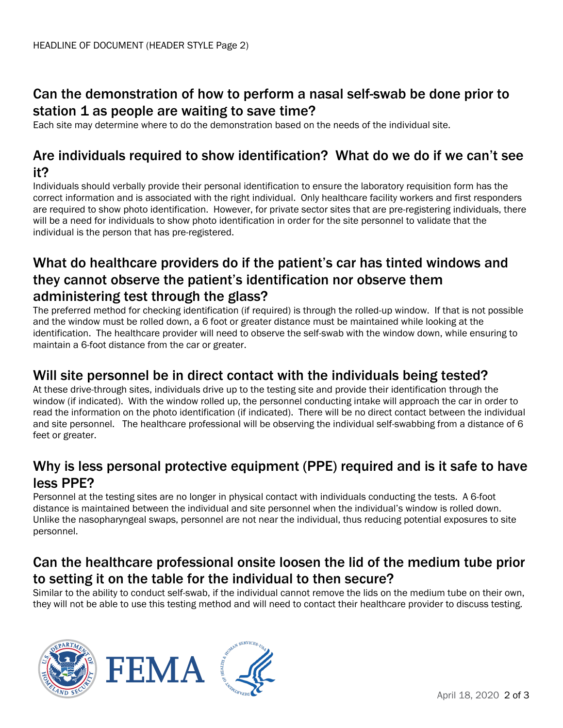## Can the demonstration of how to perform a nasal self-swab be done prior to station 1 as people are waiting to save time?

Each site may determine where to do the demonstration based on the needs of the individual site.

#### Are individuals required to show identification? What do we do if we can't see it?

Individuals should verbally provide their personal identification to ensure the laboratory requisition form has the correct information and is associated with the right individual. Only healthcare facility workers and first responders are required to show photo identification. However, for private sector sites that are pre-registering individuals, there will be a need for individuals to show photo identification in order for the site personnel to validate that the individual is the person that has pre-registered.

### What do healthcare providers do if the patient's car has tinted windows and they cannot observe the patient's identification nor observe them administering test through the glass?

The preferred method for checking identification (if required) is through the rolled-up window. If that is not possible and the window must be rolled down, a 6 foot or greater distance must be maintained while looking at the identification. The healthcare provider will need to observe the self-swab with the window down, while ensuring to maintain a 6-foot distance from the car or greater.

#### Will site personnel be in direct contact with the individuals being tested?

At these drive-through sites, individuals drive up to the testing site and provide their identification through the window (if indicated). With the window rolled up, the personnel conducting intake will approach the car in order to read the information on the photo identification (if indicated). There will be no direct contact between the individual and site personnel. The healthcare professional will be observing the individual self-swabbing from a distance of 6 feet or greater.

## Why is less personal protective equipment (PPE) required and is it safe to have less PPE?

Personnel at the testing sites are no longer in physical contact with individuals conducting the tests. A 6-foot distance is maintained between the individual and site personnel when the individual's window is rolled down. Unlike the nasopharyngeal swaps, personnel are not near the individual, thus reducing potential exposures to site personnel.

## Can the healthcare professional onsite loosen the lid of the medium tube prior to setting it on the table for the individual to then secure?

Similar to the ability to conduct self-swab, if the individual cannot remove the lids on the medium tube on their own, they will not be able to use this testing method and will need to contact their healthcare provider to discuss testing.